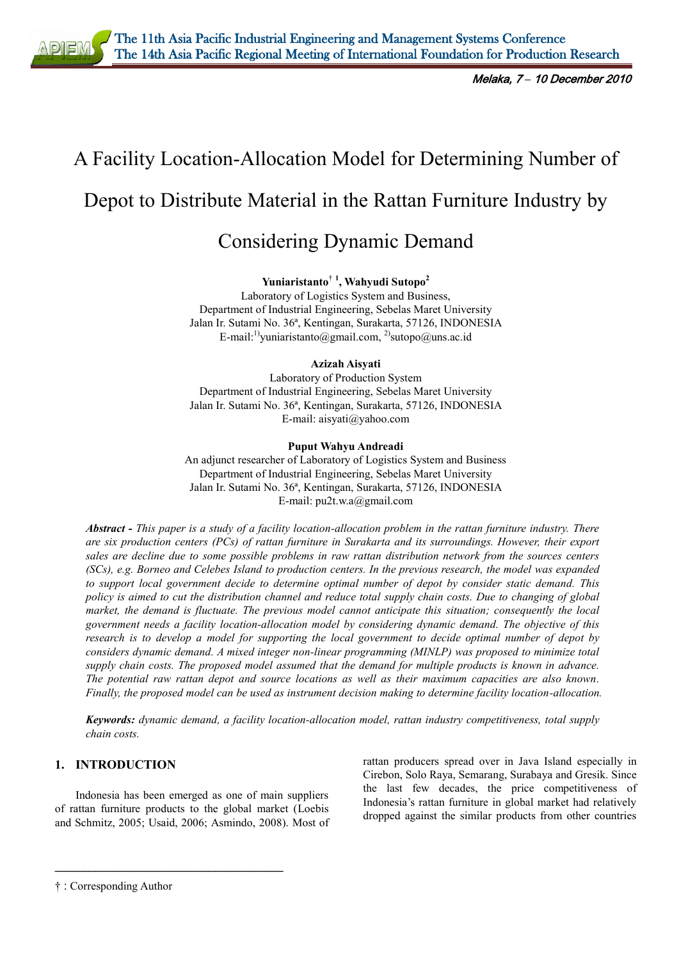

# A Facility Location-Allocation Model for Determining Number of Depot to Distribute Material in the Rattan Furniture Industry by

# Considering Dynamic Demand

**Yuniaristanto**† **<sup>1</sup> , Wahyudi Sutopo<sup>2</sup>**

Laboratory of Logistics System and Business, Department of Industrial Engineering, Sebelas Maret University Jalan Ir. Sutami No. 36ª, Kentingan, Surakarta, 57126, INDONESIA E-mail:<sup>1)</sup>[yuniaristanto@gmail.com,](mailto:yuniaristanto@gmail.com) <sup>2)</sup>sutopo@uns.ac.id

# **Azizah Aisyati**

Laboratory of Production System Department of Industrial Engineering, Sebelas Maret University Jalan Ir. Sutami No. 36ª, Kentingan, Surakarta, 57126, INDONESIA E-mail[: aisyati@yahoo.com](mailto:aisyati@yahoo.com)

#### **Puput Wahyu Andreadi**

An adjunct researcher of Laboratory of Logistics System and Business Department of Industrial Engineering, Sebelas Maret University Jalan Ir. Sutami No. 36ª, Kentingan, Surakarta, 57126, INDONESIA E-mail: pu2t.w.a@gmail.com

*Abstract - This paper is a study of a facility location-allocation problem in the rattan furniture industry. There are six production centers (PCs) of rattan furniture in Surakarta and its surroundings. However, their export sales are decline due to some possible problems in raw rattan distribution network from the sources centers (SCs), e.g. Borneo and Celebes Island to production centers. In the previous research, the model was expanded to support local government decide to determine optimal number of depot by consider static demand. This policy is aimed to cut the distribution channel and reduce total supply chain costs. Due to changing of global market, the demand is fluctuate. The previous model cannot anticipate this situation; consequently the local government needs a facility location-allocation model by considering dynamic demand. The objective of this research is to develop a model for supporting the local government to decide optimal number of depot by considers dynamic demand. A mixed integer non-linear programming (MINLP) was proposed to minimize total supply chain costs. The proposed model assumed that the demand for multiple products is known in advance. The potential raw rattan depot and source locations as well as their maximum capacities are also known. Finally, the proposed model can be used as instrument decision making to determine facility location-allocation.*

*Keywords: dynamic demand, a facility location-allocation model, rattan industry competitiveness, total supply chain costs.*

# **1. INTRODUCTION**

Indonesia has been emerged as one of main suppliers of rattan furniture products to the global market (Loebis and Schmitz, 2005; Usaid, 2006; Asmindo, 2008). Most of

\_\_\_\_\_\_\_\_\_\_\_\_\_\_\_\_\_\_\_\_\_\_\_\_\_\_\_\_\_\_\_\_\_\_\_\_\_\_\_\_

rattan producers spread over in Java Island especially in Cirebon, Solo Raya, Semarang, Surabaya and Gresik. Since the last few decades, the price competitiveness of Indonesia's rattan furniture in global market had relatively dropped against the similar products from other countries

<sup>†</sup> : Corresponding Author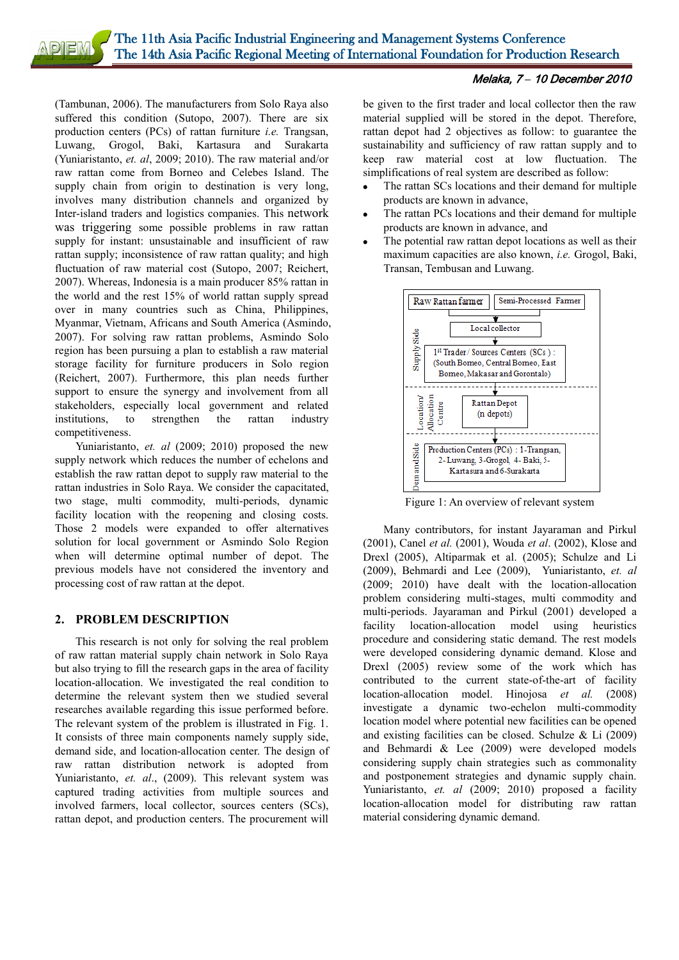(Tambunan, 2006). The manufacturers from Solo Raya also suffered this condition (Sutopo, 2007). There are six production centers (PCs) of rattan furniture *i.e.* Trangsan, Luwang, Grogol, Baki, Kartasura and Surakarta (Yuniaristanto, *et. al*, 2009; 2010). The raw material and/or raw rattan come from Borneo and Celebes Island. The supply chain from origin to destination is very long, involves many distribution channels and organized by Inter-island traders and logistics companies. This network was triggering some possible problems in raw rattan supply for instant: unsustainable and insufficient of raw rattan supply; inconsistence of raw rattan quality; and high fluctuation of raw material cost (Sutopo, 2007; Reichert, 2007). Whereas, Indonesia is a main producer 85% rattan in the world and the rest 15% of world rattan supply spread over in many countries such as China, Philippines, Myanmar, Vietnam, Africans and South America (Asmindo, 2007). For solving raw rattan problems, Asmindo Solo region has been pursuing a plan to establish a raw material storage facility for furniture producers in Solo region (Reichert, 2007). Furthermore, this plan needs further support to ensure the synergy and involvement from all stakeholders, especially local government and related institutions, to strengthen the rattan industry competitiveness.

Yuniaristanto, *et. al* (2009; 2010) proposed the new supply network which reduces the number of echelons and establish the raw rattan depot to supply raw material to the rattan industries in Solo Raya. We consider the capacitated, two stage, multi commodity, multi-periods, dynamic facility location with the reopening and closing costs. Those 2 models were expanded to offer alternatives solution for local government or Asmindo Solo Region when will determine optimal number of depot. The previous models have not considered the inventory and processing cost of raw rattan at the depot.

# **2. PROBLEM DESCRIPTION**

This research is not only for solving the real problem of raw rattan material supply chain network in Solo Raya but also trying to fill the research gaps in the area of facility location-allocation. We investigated the real condition to determine the relevant system then we studied several researches available regarding this issue performed before. The relevant system of the problem is illustrated in Fig. 1. It consists of three main components namely supply side, demand side, and location-allocation center. The design of raw rattan distribution network is adopted from Yuniaristanto, et. al., (2009). This relevant system was captured trading activities from multiple sources and involved farmers, local collector, sources centers (SCs), rattan depot, and production centers. The procurement will

be given to the first trader and local collector then the raw material supplied will be stored in the depot. Therefore, rattan depot had 2 objectives as follow: to guarantee the sustainability and sufficiency of raw rattan supply and to keep raw material cost at low fluctuation. The simplifications of real system are described as follow:

- The rattan SCs locations and their demand for multiple products are known in advance,
- The rattan PCs locations and their demand for multiple products are known in advance, and
- The potential raw rattan depot locations as well as their maximum capacities are also known, *i.e.* Grogol, Baki, Transan, Tembusan and Luwang.



Figure 1: An overview of relevant system

Many contributors, for instant Jayaraman and Pirkul (2001), Canel *et al.* (2001), Wouda *et al*. (2002), Klose and Drexl (2005), Altiparmak et al. (2005); Schulze and Li (2009), Behmardi and Lee (2009), Yuniaristanto, *et. al* (2009; 2010) have dealt with the location-allocation problem considering multi-stages, multi commodity and multi-periods. Jayaraman and Pirkul (2001) developed a facility location-allocation model using heuristics procedure and considering static demand. The rest models were developed considering dynamic demand. Klose and Drexl (2005) review some of the work which has contributed to the current state-of-the-art of facility location-allocation model. Hinojosa *et al.* (2008) investigate a dynamic two-echelon multi-commodity location model where potential new facilities can be opened and existing facilities can be closed. Schulze & Li (2009) and Behmardi & Lee (2009) were developed models considering supply chain strategies such as commonality and postponement strategies and dynamic supply chain. Yuniaristanto, *et. al* (2009; 2010) proposed a facility location-allocation model for distributing raw rattan material considering dynamic demand.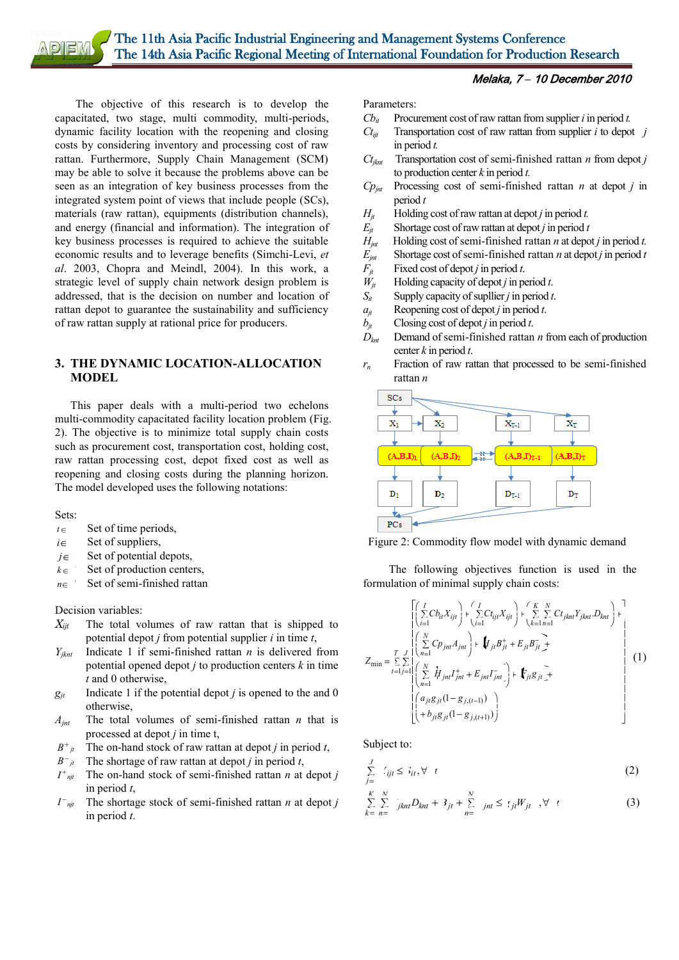The objective of this research is to develop the capacitated, two stage, multi commodity, multi-periods, dynamic facility location with the reopening and closing costs by considering inventory and processing cost of raw rattan. Furthermore, Supply Chain Management (SCM) may be able to solve it because the problems above can be seen as an integration of key business processes from the integrated system point of views that include people (SCs), materials (raw rattan), equipments (distribution channels), and energy (financial and information). The integration of key business processes is required to achieve the suitable economic results and to leverage benefits (Simchi-Levi, *et al*. 2003, Chopra and Meindl, 2004). In this work, a strategic level of supply chain network design problem is addressed, that is the decision on number and location of rattan depot to guarantee the sustainability and sufficiency of raw rattan supply at rational price for producers.

#### **3. THE DYNAMIC LOCATION-ALLOCATION MODEL**

This paper deals with a multi-period two echelons multi-commodity capacitated facility location problem (Fig. 2). The objective is to minimize total supply chain costs such as procurement cost, transportation cost, holding cost, raw rattan processing cost, depot fixed cost as well as reopening and closing costs during the planning horizon. The model developed uses the following notations:

Sets:

- $t \in$ Set of time periods,
- $i \in$ Set of suppliers,
- $j \in$ Set of potential depots,
- $k \in$ Set of production centers,
- $n \in$ Set of semi-finished rattan

Decision variables:

- *Xijt* The total volumes of raw rattan that is shipped to potential depot *j* from potential supplier *i* in time *t*,
- *Yjknt* Indicate 1 if semi-finished rattan *n* is delivered from potential opened depot *j* to production centers *k* in time *t* and 0 otherwise,
- $g_{jt}$  Indicate 1 if the potential depot *j* is opened to the and 0 otherwise,
- *Ajnt* The total volumes of semi-finished rattan *n* that is processed at depot *j* in time t,
- $B^+$  *jt* The on-hand stock of raw rattan at depot *j* in period *t*,
- $B^-$  *jt* The shortage of raw rattan at depot *j* in period *t*,
- $I^+{}_{\eta j t}$ The on-hand stock of semi-finished rattan *n* at depot *j* in period *t*,
- *I njt* The shortage stock of semi-finished rattan *n* at depot *j* in period *t*.

Parameters:

- $Cb_i$  Procurement cost of raw rattan from supplier *i* in period *t*.
- $C_t$ <sup>*ijt*</sup> Transportation cost of raw rattan from supplier *i* to depot *j* in period *t.*
- $C_{\text{t}_{\text{int}}}$  Transportation cost of semi-finished rattan *n* from depot *j* to production center *k* in period *t.*
- $Cp_{int}$  Processing cost of semi-finished rattan *n* at depot *j* in period *t*
- $H_i$  Holding cost of raw rattan at depot *j* in period *t*.
- $E_{it}$  Shortage cost of raw rattan at depot *j* in period *t*
- $H_{int}$  Holding cost of semi-finished rattan *n* at depot *j* in period *t*.
- *E<sub>jnt</sub>* Shortage cost of semi-finished rattan *n* at depot *j* in period *t*  $F_{jt}$  Fixed cost of depot *j* in period *t*.<br>  $N_{jt}$  Holding capacity of depot *j* in period *t*.<br>
S<sub>*it*</sub> Supply capacity of supllier *j* in
- Fixed cost of depot *j* in period *t*.
- *Holding capacity of depot <i>j* in period *t*.
- Supply capacity of supllier *j* in period *t*.
- $a_{jt}$  Reopening cost of depot *j* in period *t*.
- 
- $b_{jt}$  Closing cost of depot *j* in period *t*.<br> $D_{knt}$  Demand of semi-finished rattan *Demand of semi-finished rattan <i>n* from each of production center *k* in period *t*.
- *r<sup>n</sup>* Fraction of raw rattan that processed to be semi-finished rattan *n*





The following objectives function is used in the formulation of minimal supply chain costs:

$$
Z_{\min} = \sum_{t=1}^{T} \sum_{j=1}^{J} \left( \sum_{n=1}^{N} (P_{jnt} X_{ijt}) + \sum_{i=1}^{J} C t_{ijt} X_{ijt} \right) + \sum_{k=1}^{K} \sum_{n=1}^{N} C t_{jknt} Y_{jknt} D_{knt} \right) +
$$
  
\n
$$
Z_{\min} = \sum_{t=1}^{T} \sum_{j=1}^{J} \left( \sum_{n=1}^{N} \hat{H}_{jnt} I_{jnt}^{+} + E_{jnt} I_{jnt}^{-} \right) + \hat{F}_{jt} g_{jt} +
$$
  
\n
$$
\left( \sum_{n=1}^{J} \hat{H}_{jnt} I_{jnt}^{+} + E_{jnt} I_{jnt}^{-} \right) + \hat{F}_{jt} g_{jt} +
$$
  
\n
$$
\left( \sum_{n=1}^{J} \hat{H}_{jnt} (1 - g_{j,(t-1)}) \right)
$$
  
\n(1)

Subject to:

$$
\sum_{j=1}^{J} \zeta_{ijt} \leq \zeta_{it}, \forall t
$$
 (2)

$$
\sum_{k=-n}^{K} \sum_{n=-j}^{N} j_{knt} D_{knt} + 3_{jt} + \sum_{n=-j}^{N} j_{nt} \leq \zeta_{jt} W_{jt}, \forall t
$$
\n(3)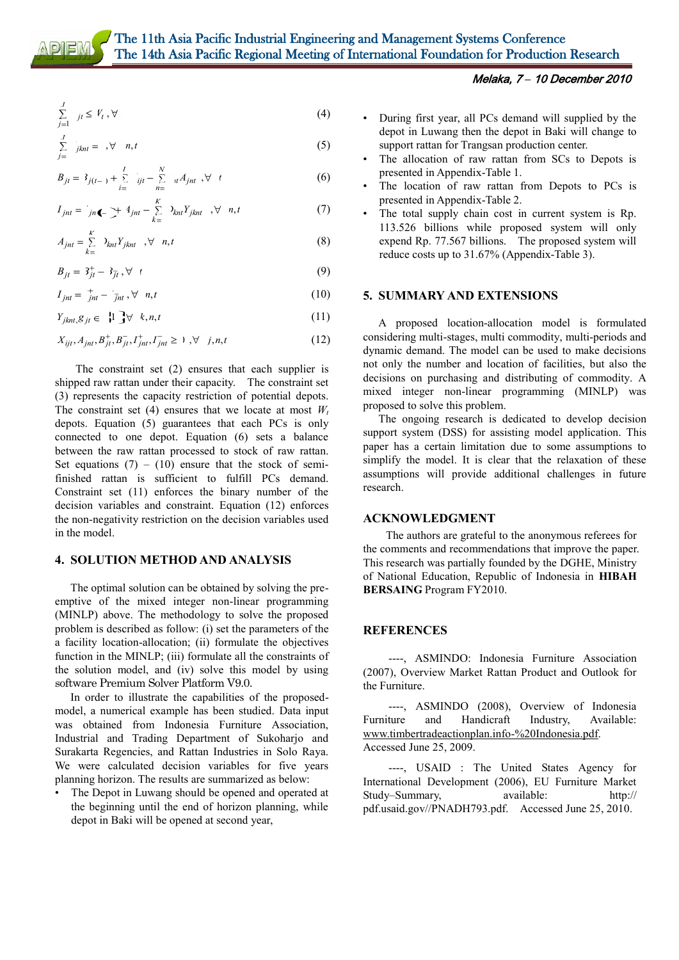# The 11th Asia Pacific Industrial Engineering and Management Systems Conference The 14th Asia Pacific Regional Meeting of International Foundation for Production Research

$$
\sum_{j=1}^{J} j_t \le V_t, \forall
$$
\n(4)

$$
\sum_{j=1}^{I} \left( \int_{j+1}^{t} x_j \, dt \right) = \int_{0}^{I} \left( \int_{0}^{t} \, dt \right) \, dt \tag{5}
$$

$$
B_{jt} = 3_{j(t-)} + \sum_{i=1}^{I} i_{jt} - \sum_{n=1}^{N} u A_{jnt}, \forall t
$$
 (6)

$$
I_{jnt} = \sum_{jn \blacktriangleleft - \frac{1}{n}} \frac{4_{jnt} - \sum_{k=1}^{K} \lambda_{in} Y_{jknt} , \forall n, t \tag{7}
$$

$$
A_{jnt} = \sum_{k=1}^{K} \lambda_{knt} Y_{jknt} , \forall n, t
$$
 (8)

$$
B_{jt} = 3_{jt}^+ - 3_{jt}^- \quad \forall \quad t \tag{9}
$$

$$
I_{jnt} = \dot{I}_{jnt} - \dot{I}_{jnt}, \forall n, t
$$
 (10)

$$
Y_{jknt}, g_{jt} \in \{1\} \forall k, n, t \tag{11}
$$

$$
X_{ijt}, A_{jnt}, B_{jt}^+, B_{jt}^-, I_{jnt}^+, I_{jnt}^- \ge 1, \forall j, n, t
$$
 (12)

The constraint set (2) ensures that each supplier is shipped raw rattan under their capacity. The constraint set (3) represents the capacity restriction of potential depots. The constraint set (4) ensures that we locate at most  $W_t$ depots. Equation (5) guarantees that each PCs is only connected to one depot. Equation (6) sets a balance between the raw rattan processed to stock of raw rattan. Set equations  $(7) - (10)$  ensure that the stock of semifinished rattan is sufficient to fulfill PCs demand. Constraint set (11) enforces the binary number of the decision variables and constraint. Equation (12) enforces the non-negativity restriction on the decision variables used in the model.

#### **4. SOLUTION METHOD AND ANALYSIS**

The optimal solution can be obtained by solving the preemptive of the mixed integer non-linear programming (MINLP) above. The methodology to solve the proposed problem is described as follow: (i) set the parameters of the a facility location-allocation; (ii) formulate the objectives function in the MINLP; (iii) formulate all the constraints of the solution model, and (iv) solve this model by using software Premium Solver Platform V9.0.

In order to illustrate the capabilities of the proposedmodel, a numerical example has been studied. Data input was obtained from Indonesia Furniture Association, Industrial and Trading Department of Sukoharjo and Surakarta Regencies, and Rattan Industries in Solo Raya. We were calculated decision variables for five years planning horizon. The results are summarized as below:

The Depot in Luwang should be opened and operated at the beginning until the end of horizon planning, while depot in Baki will be opened at second year,

#### Melaka, 7 *–* 10 December 2010

- During first year, all PCs demand will supplied by the depot in Luwang then the depot in Baki will change to support rattan for Trangsan production center.
- The allocation of raw rattan from SCs to Depots is presented in Appendix-Table 1.
- The location of raw rattan from Depots to PCs is presented in Appendix-Table 2.
- The total supply chain cost in current system is Rp. 113.526 billions while proposed system will only expend Rp. 77.567 billions. The proposed system will reduce costs up to 31.67% (Appendix-Table 3).

#### **5. SUMMARY AND EXTENSIONS**

A proposed location-allocation model is formulated considering multi-stages, multi commodity, multi-periods and dynamic demand. The model can be used to make decisions not only the number and location of facilities, but also the decisions on purchasing and distributing of commodity. A mixed integer non-linear programming (MINLP) was proposed to solve this problem.

The ongoing research is dedicated to develop decision support system (DSS) for assisting model application. This paper has a certain limitation due to some assumptions to simplify the model. It is clear that the relaxation of these assumptions will provide additional challenges in future research.

#### **ACKNOWLEDGMENT**

The authors are grateful to the anonymous referees for the comments and recommendations that improve the paper. This research was partially founded by the DGHE, Ministry of National Education, Republic of Indonesia in **HIBAH BERSAING** Program FY2010.

#### **REFERENCES**

----, ASMINDO: Indonesia Furniture Association (2007), Overview Market Rattan Product and Outlook for the Furniture.

----, ASMINDO (2008), Overview of Indonesia Furniture and Handicraft Industry, Available: www.timbertradeactionplan.info-%20Indonesia.pdf. Accessed June 25, 2009.

----, USAID : The United States Agency for International Development (2006), EU Furniture Market Study–Summary, available: http:// pdf.usaid.gov//PNADH793.pdf. Accessed June 25, 2010.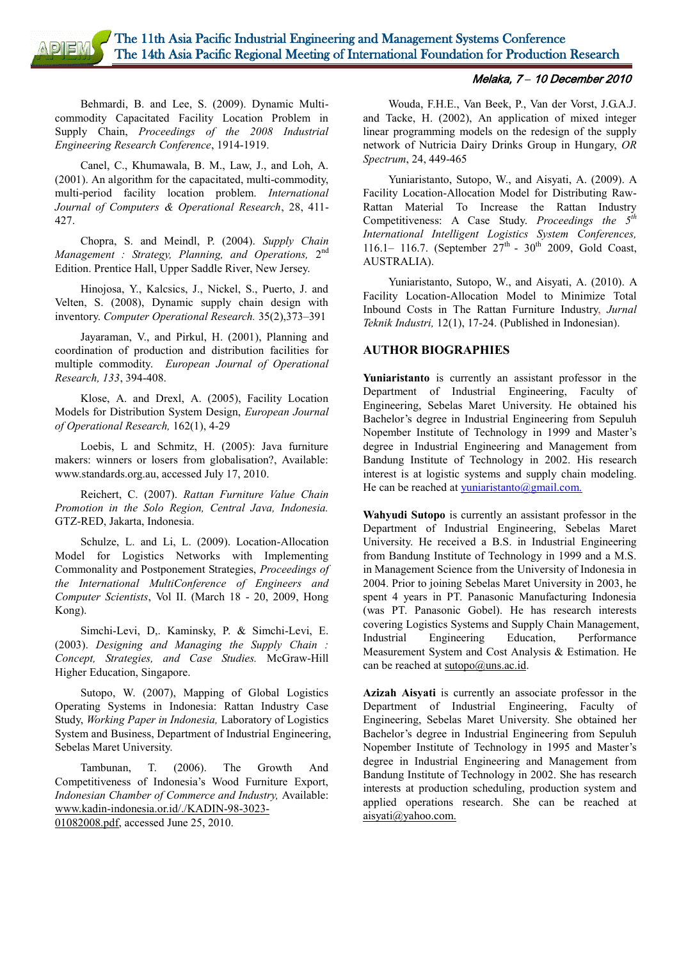The 11th Asia Pacific Industrial Engineering and Management Systems Conference **DIEM** The 14th Asia Pacific Regional Meeting of International Foundation for Production Research

#### Melaka, 7 *–* 10 December 2010

Behmardi, B. and Lee, S. (2009). Dynamic Multicommodity Capacitated Facility Location Problem in Supply Chain, *Proceedings of the 2008 Industrial Engineering Research Conference*, 1914-1919.

Canel, C., Khumawala, B. M., Law, J., and Loh, A. (2001). An algorithm for the capacitated, multi-commodity, multi-period facility location problem. *International Journal of Computers & Operational Research*, 28, 411- 427.

Chopra, S. and Meindl, P. (2004). *Supply Chain*  Management : Strategy, Planning, and Operations, 2<sup>nd</sup> Edition. Prentice Hall, Upper Saddle River, New Jersey.

Hinojosa, Y., Kalcsics, J., Nickel, S., Puerto, J. and Velten, S. (2008), Dynamic supply chain design with inventory. *Computer Operational Research.* 35(2),373–391

Jayaraman, V., and Pirkul, H. (2001), Planning and coordination of production and distribution facilities for multiple commodity. *European Journal of Operational Research, 133*, 394-408.

Klose, A. and Drexl, A. (2005), Facility Location Models for Distribution System Design, *European Journal of Operational Research,* 162(1), 4-29

Loebis, L and Schmitz, H. (2005): Java furniture makers: winners or losers from globalisation?, Available: www.standards.org.au, accessed July 17, 2010.

Reichert, C. (2007). *Rattan Furniture Value Chain Promotion in the Solo Region, Central Java, Indonesia.* GTZ-RED, Jakarta, Indonesia.

Schulze, L. and Li, L. (2009). Location-Allocation Model for Logistics Networks with Implementing Commonality and Postponement Strategies, *Proceedings of the International MultiConference of Engineers and Computer Scientists*, Vol II. (March 18 - 20, 2009, Hong Kong).

Simchi-Levi, D,. Kaminsky, P. & Simchi-Levi, E. (2003). *Designing and Managing the Supply Chain : Concept, Strategies, and Case Studies.* McGraw-Hill Higher Education, Singapore.

Sutopo, W. (2007), Mapping of Global Logistics Operating Systems in Indonesia: Rattan Industry Case Study, *Working Paper in Indonesia,* Laboratory of Logistics System and Business, Department of Industrial Engineering, Sebelas Maret University.

Tambunan, T. (2006). The Growth And Competitiveness of Indonesia's Wood Furniture Export, *Indonesian Chamber of Commerce and Industry,* Available: [www.kadin-indonesia.or.id/./KADIN-98-3023-](http://www.kadin-indonesia.or.id/enm/.../KADIN-98-3023-01082008.pdf)

[01082008.pdf,](http://www.kadin-indonesia.or.id/enm/.../KADIN-98-3023-01082008.pdf) accessed June 25, 2010.

Wouda, F.H.E., Van Beek, P., Van der Vorst, J.G.A.J. and Tacke, H. (2002), An application of mixed integer linear programming models on the redesign of the supply network of Nutricia Dairy Drinks Group in Hungary, *OR Spectrum*, 24, 449-465

Yuniaristanto, Sutopo, W., and Aisyati, A. (2009). A Facility Location-Allocation Model for Distributing Raw-Rattan Material To Increase the Rattan Industry Competitiveness: A Case Study. *Proceedings the 5th International Intelligent Logistics System Conferences,* 116.1– 116.7. (September  $27^{th}$  - 30<sup>th</sup> 2009, Gold Coast, AUSTRALIA).

Yuniaristanto, Sutopo, W., and Aisyati, A. (2010). A Facility Location-Allocation Model to Minimize Total Inbound Costs in The Rattan Furniture Industry, *Jurnal Teknik Industri,* 12(1), 17-24. (Published in Indonesian).

#### **AUTHOR BIOGRAPHIES**

**Yuniaristanto** is currently an assistant professor in the Department of Industrial Engineering, Faculty of Engineering, Sebelas Maret University. He obtained his Bachelor's degree in Industrial Engineering from Sepuluh Nopember Institute of Technology in 1999 and Master's degree in Industrial Engineering and Management from Bandung Institute of Technology in 2002. His research interest is at logistic systems and supply chain modeling. He can be reached at  $yuniaristanto( $\omega$ )gmail.com.$ </u>

**Wahyudi Sutopo** is currently an assistant professor in the Department of Industrial Engineering, Sebelas Maret University. He received a B.S. in Industrial Engineering from Bandung Institute of Technology in 1999 and a M.S. in Management Science from the University of Indonesia in 2004. Prior to joining Sebelas Maret University in 2003, he spent 4 years in PT. Panasonic Manufacturing Indonesia (was PT. Panasonic Gobel). He has research interests covering Logistics Systems and Supply Chain Management, Industrial Engineering Education, Performance Measurement System and Cost Analysis & Estimation. He can be reached at  $\frac{\text{subpo}(a)}{\text{uns.ac.id}}$ .

**Azizah Aisyati** is currently an associate professor in the Department of Industrial Engineering, Faculty of Engineering, Sebelas Maret University. She obtained her Bachelor's degree in Industrial Engineering from Sepuluh Nopember Institute of Technology in 1995 and Master's degree in Industrial Engineering and Management from Bandung Institute of Technology in 2002. She has research interests at production scheduling, production system and applied operations research. She can be reached at [aisyati@yahoo.com.](../../../../Documents%20and%20Settings/user/Local%20Settings/Temp/aisyati@yahoo.com)